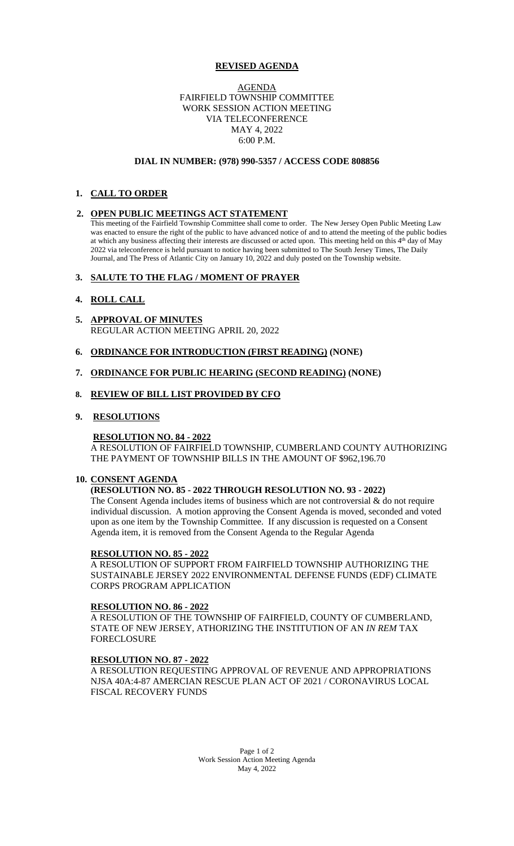## **REVISED AGENDA**

## AGENDA FAIRFIELD TOWNSHIP COMMITTEE WORK SESSION ACTION MEETING VIA TELECONFERENCE MAY 4, 2022 6:00 P.M.

### **DIAL IN NUMBER: (978) 990-5357 / ACCESS CODE 808856**

# **1. CALL TO ORDER**

## **2. OPEN PUBLIC MEETINGS ACT STATEMENT**

This meeting of the Fairfield Township Committee shall come to order. The New Jersey Open Public Meeting Law was enacted to ensure the right of the public to have advanced notice of and to attend the meeting of the public bodies at which any business affecting their interests are discussed or acted upon. This meeting held on this 4<sup>th</sup> day of May 2022 via teleconference is held pursuant to notice having been submitted to The South Jersey Times, The Daily Journal, and The Press of Atlantic City on January 10, 2022 and duly posted on the Township website.

## **3. SALUTE TO THE FLAG / MOMENT OF PRAYER**

## **4. ROLL CALL**

- **5. APPROVAL OF MINUTES** REGULAR ACTION MEETING APRIL 20, 2022
- **6. ORDINANCE FOR INTRODUCTION (FIRST READING) (NONE)**

## **7. ORDINANCE FOR PUBLIC HEARING (SECOND READING) (NONE)**

### **8. REVIEW OF BILL LIST PROVIDED BY CFO**

### **9. RESOLUTIONS**

### **RESOLUTION NO. 84 - 2022**

A RESOLUTION OF FAIRFIELD TOWNSHIP, CUMBERLAND COUNTY AUTHORIZING THE PAYMENT OF TOWNSHIP BILLS IN THE AMOUNT OF \$962,196.70

# **10. CONSENT AGENDA**

# **(RESOLUTION NO. 85 - 2022 THROUGH RESOLUTION NO. 93 - 2022)**

The Consent Agenda includes items of business which are not controversial & do not require individual discussion. A motion approving the Consent Agenda is moved, seconded and voted upon as one item by the Township Committee. If any discussion is requested on a Consent Agenda item, it is removed from the Consent Agenda to the Regular Agenda

#### **RESOLUTION NO. 85 - 2022**

A RESOLUTION OF SUPPORT FROM FAIRFIELD TOWNSHIP AUTHORIZING THE SUSTAINABLE JERSEY 2022 ENVIRONMENTAL DEFENSE FUNDS (EDF) CLIMATE CORPS PROGRAM APPLICATION

#### **RESOLUTION NO. 86 - 2022**

A RESOLUTION OF THE TOWNSHIP OF FAIRFIELD, COUNTY OF CUMBERLAND, STATE OF NEW JERSEY, ATHORIZING THE INSTITUTION OF AN *IN REM* TAX FORECLOSURE

#### **RESOLUTION NO. 87 - 2022**

A RESOLUTION REQUESTING APPROVAL OF REVENUE AND APPROPRIATIONS NJSA 40A:4-87 AMERCIAN RESCUE PLAN ACT OF 2021 / CORONAVIRUS LOCAL FISCAL RECOVERY FUNDS